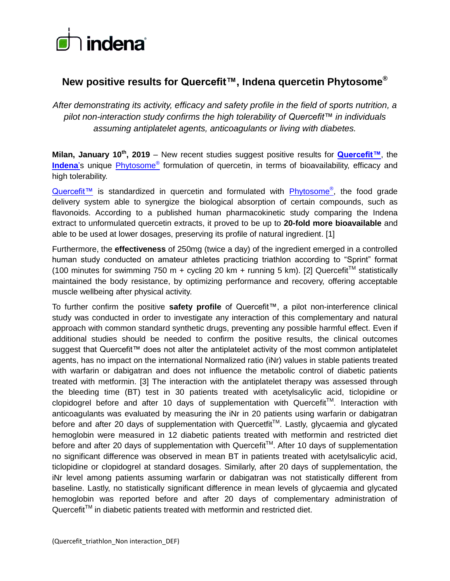

# **New positive results for Quercefit™, Indena quercetin Phytosome®**

*After demonstrating its activity, efficacy and safety profile in the field of sports nutrition, a pilot non-interaction study confirms the high tolerability of Quercefit™ in individuals assuming antiplatelet agents, anticoagulants or living with diabetes.*

**Milan, January 10th , 2019** – New recent studies suggest positive results for **[Quercefit™](http://www.indena.com/pdf/quercefit_ss_int.pdf)**, the **[Indena](http://www.indena.com/)**'s unique [Phytosome](https://www.phytosome.info/)® formulation of quercetin, in terms of bioavailability, efficacy and high tolerability.

[Quercefit™](http://www.indena.com/pdf/quercefit_ss_int.pdf) is standardized in quercetin and formulated with **[Phytosome](https://www.phytosome.info/)®**, the food grade delivery system able to synergize the biological absorption of certain compounds, such as flavonoids. According to a published human pharmacokinetic study comparing the Indena extract to unformulated quercetin extracts, it proved to be up to **20-fold more bioavailable** and able to be used at lower dosages, preserving its profile of natural ingredient. [1]

Furthermore, the **effectiveness** of 250mg (twice a day) of the ingredient emerged in a controlled human study conducted on amateur athletes practicing triathlon according to "Sprint" format (100 minutes for swimming 750 m + cycling 20 km + running 5 km). [2] Quercefit<sup>™</sup> statistically maintained the body resistance, by optimizing performance and recovery, offering acceptable muscle wellbeing after physical activity.

To further confirm the positive **safety profile** of Quercefit™, a pilot non-interference clinical study was conducted in order to investigate any interaction of this complementary and natural approach with common standard synthetic drugs, preventing any possible harmful effect. Even if additional studies should be needed to confirm the positive results, the clinical outcomes suggest that Quercefit™ does not alter the antiplatelet activity of the most common antiplatelet agents, has no impact on the international Normalized ratio (iNr) values in stable patients treated with warfarin or dabigatran and does not influence the metabolic control of diabetic patients treated with metformin. [3] The interaction with the antiplatelet therapy was assessed through the bleeding time (BT) test in 30 patients treated with acetylsalicylic acid, ticlopidine or clopidogrel before and after 10 days of supplementation with Quercefit™. Interaction with anticoagulants was evaluated by measuring the iNr in 20 patients using warfarin or dabigatran before and after 20 days of supplementation with Quercetfit<sup>TM</sup>. Lastly, glycaemia and glycated hemoglobin were measured in 12 diabetic patients treated with metformin and restricted diet before and after 20 days of supplementation with Quercefit™. After 10 days of supplementation no significant difference was observed in mean BT in patients treated with acetylsalicylic acid, ticlopidine or clopidogrel at standard dosages. Similarly, after 20 days of supplementation, the iNr level among patients assuming warfarin or dabigatran was not statistically different from baseline. Lastly, no statistically significant difference in mean levels of glycaemia and glycated hemoglobin was reported before and after 20 days of complementary administration of Quercefit™ in diabetic patients treated with metformin and restricted diet.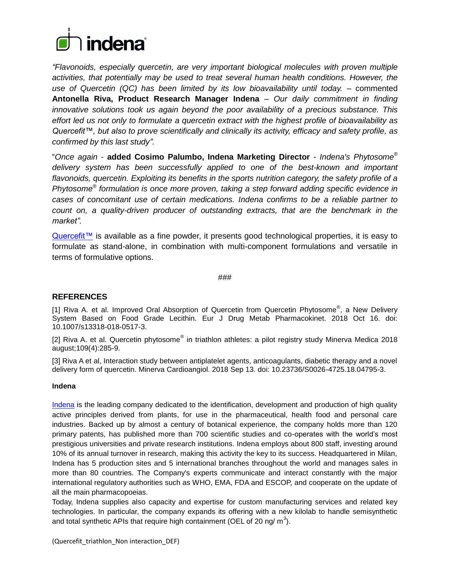

*"Flavonoids, especially quercetin, are very important biological molecules with proven multiple activities, that potentially may be used to treat several human health conditions. However, the use of Quercetin (QC) has been limited by its low bioavailability until today.* – commented **Antonella Riva, Product Research Manager Indena** – *Our daily commitment in finding innovative solutions took us again beyond the poor availability of a precious substance. This effort led us not only to formulate a quercetin extract with the highest profile of bioavailability as Quercefit™, but also to prove scientifically and clinically its activity, efficacy and safety profile, as confirmed by this last study".*

"*Once again* - **added Cosimo Palumbo, Indena Marketing Director** - *Indena's Phytosome® delivery system has been successfully applied to one of the best-known and important flavonoids, quercetin. Exploiting its benefits in the sports nutrition category, the safety profile of a Phytosome® formulation is once more proven, taking a step forward adding specific evidence in cases of concomitant use of certain medications. Indena confirms to be a reliable partner to count on, a quality-driven producer of outstanding extracts, that are the benchmark in the market".*

[Quercefit™](http://www.indena.com/pdf/quercefit_ss_int.pdf) is available as a fine powder, it presents good technological properties, it is easy to formulate as stand-alone, in combination with multi-component formulations and versatile in terms of formulative options.

###

# **REFERENCES**

[1] Riva A. et al. Improved Oral Absorption of Quercetin from Quercetin Phytosome<sup>®</sup>, a New Delivery System Based on Food Grade Lecithin. Eur J Drug Metab Pharmacokinet. 2018 Oct 16. doi: 10.1007/s13318-018-0517-3.

[2] Riva A. et al. Quercetin phytosome® in triathlon athletes: a pilot registry study Minerva Medica 2018 august;109(4):285-9.

[3] Riva A et al, Interaction study between antiplatelet agents, anticoagulants, diabetic therapy and a novel delivery form of quercetin. Minerva Cardioangiol. 2018 Sep 13. doi: 10.23736/S0026-4725.18.04795-3.

#### **Indena**

[Indena](http://www.indena.com/) is the leading company dedicated to the identification, development and production of high quality active principles derived from plants, for use in the pharmaceutical, health food and personal care industries. Backed up by almost a century of botanical experience, the company holds more than 120 primary patents, has published more than 700 scientific studies and co-operates with the world's most prestigious universities and private research institutions. Indena employs about 800 staff, investing around 10% of its annual turnover in research, making this activity the key to its success. Headquartered in Milan, Indena has 5 production sites and 5 international branches throughout the world and manages sales in more than 80 countries. The Company's experts communicate and interact constantly with the major international regulatory authorities such as WHO, EMA, FDA and ESCOP, and cooperate on the update of all the main pharmacopoeias.

Today, Indena supplies also capacity and expertise for custom manufacturing services and related key technologies. In particular, the company expands its offering with a new kilolab to handle semisynthetic and total synthetic APIs that require high containment (OEL of 20 ng/ m<sup>3</sup>).